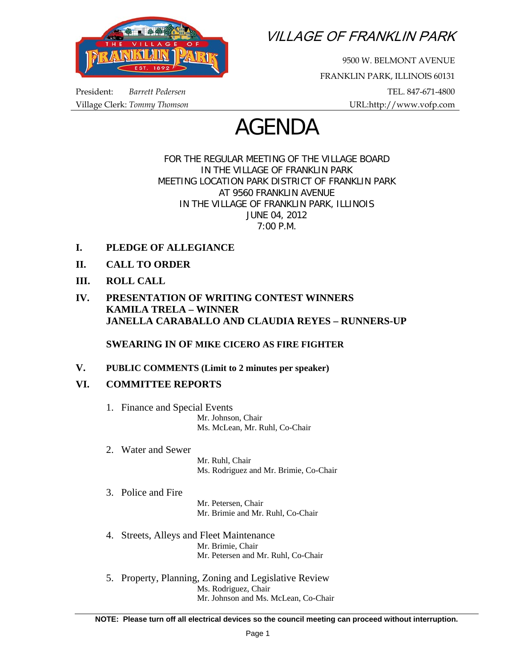

VILLAGE OF FRANKLIN PARK

9500 W. BELMONT AVENUE FRANKLIN PARK, ILLINOIS 60131 President: *Barrett Pedersen* TEL. 847-671-4800 Village Clerk: *Tommy Thomson* URL:http://www.vofp.com

# AGENDA

FOR THE REGULAR MEETING OF THE VILLAGE BOARD IN THE VILLAGE OF FRANKLIN PARK MEETING LOCATION PARK DISTRICT OF FRANKLIN PARK AT 9560 FRANKLIN AVENUE IN THE VILLAGE OF FRANKLIN PARK, ILLINOIS JUNE 04, 2012 7:00 P.M.

- **I. PLEDGE OF ALLEGIANCE**
- **II. CALL TO ORDER**
- **III. ROLL CALL**
- **IV. PRESENTATION OF WRITING CONTEST WINNERS KAMILA TRELA – WINNER JANELLA CARABALLO AND CLAUDIA REYES – RUNNERS-UP**

**SWEARING IN OF MIKE CICERO AS FIRE FIGHTER** 

### **V. PUBLIC COMMENTS (Limit to 2 minutes per speaker)**

## **VI. COMMITTEE REPORTS**

- 1. Finance and Special Events Mr. Johnson, Chair Ms. McLean, Mr. Ruhl, Co-Chair
- 2. Water and Sewer

 Mr. Ruhl, Chair Ms. Rodriguez and Mr. Brimie, Co-Chair

3. Police and Fire

 Mr. Petersen, Chair Mr. Brimie and Mr. Ruhl, Co-Chair

- 4. Streets, Alleys and Fleet Maintenance Mr. Brimie, Chair Mr. Petersen and Mr. Ruhl, Co-Chair
- 5. Property, Planning, Zoning and Legislative Review Ms. Rodriguez, Chair Mr. Johnson and Ms. McLean, Co-Chair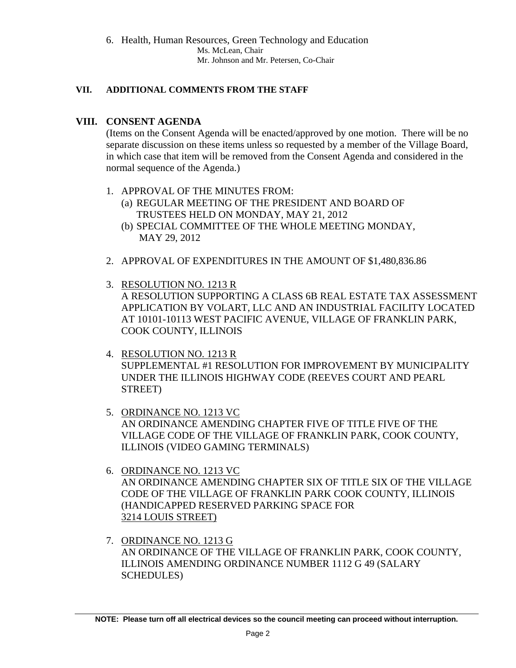6. Health, Human Resources, Green Technology and Education Ms. McLean, Chair Mr. Johnson and Mr. Petersen, Co-Chair

#### **VII. ADDITIONAL COMMENTS FROM THE STAFF**

### **VIII. CONSENT AGENDA**

(Items on the Consent Agenda will be enacted/approved by one motion. There will be no separate discussion on these items unless so requested by a member of the Village Board, in which case that item will be removed from the Consent Agenda and considered in the normal sequence of the Agenda.)

- 1. APPROVAL OF THE MINUTES FROM:
	- (a) REGULAR MEETING OF THE PRESIDENT AND BOARD OF TRUSTEES HELD ON MONDAY, MAY 21, 2012
	- (b) SPECIAL COMMITTEE OF THE WHOLE MEETING MONDAY, MAY 29, 2012
- 2. APPROVAL OF EXPENDITURES IN THE AMOUNT OF \$1,480,836.86
- 3. RESOLUTION NO. 1213 R A RESOLUTION SUPPORTING A CLASS 6B REAL ESTATE TAX ASSESSMENT APPLICATION BY VOLART, LLC AND AN INDUSTRIAL FACILITY LOCATED AT 10101-10113 WEST PACIFIC AVENUE, VILLAGE OF FRANKLIN PARK, COOK COUNTY, ILLINOIS
- 4. RESOLUTION NO. 1213 R SUPPLEMENTAL #1 RESOLUTION FOR IMPROVEMENT BY MUNICIPALITY UNDER THE ILLINOIS HIGHWAY CODE (REEVES COURT AND PEARL STREET)
- 5. ORDINANCE NO. 1213 VC AN ORDINANCE AMENDING CHAPTER FIVE OF TITLE FIVE OF THE VILLAGE CODE OF THE VILLAGE OF FRANKLIN PARK, COOK COUNTY, ILLINOIS (VIDEO GAMING TERMINALS)
- 6. ORDINANCE NO. 1213 VC AN ORDINANCE AMENDING CHAPTER SIX OF TITLE SIX OF THE VILLAGE CODE OF THE VILLAGE OF FRANKLIN PARK COOK COUNTY, ILLINOIS (HANDICAPPED RESERVED PARKING SPACE FOR 3214 LOUIS STREET)
- 7. ORDINANCE NO. 1213 G AN ORDINANCE OF THE VILLAGE OF FRANKLIN PARK, COOK COUNTY, ILLINOIS AMENDING ORDINANCE NUMBER 1112 G 49 (SALARY SCHEDULES)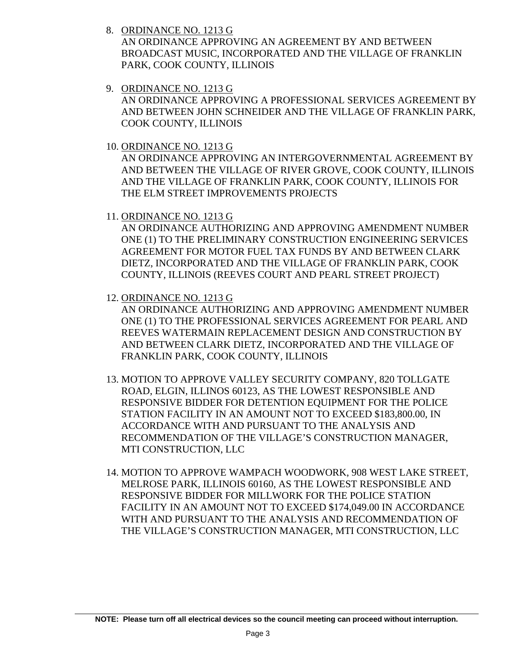8. ORDINANCE NO. 1213 G

AN ORDINANCE APPROVING AN AGREEMENT BY AND BETWEEN BROADCAST MUSIC, INCORPORATED AND THE VILLAGE OF FRANKLIN PARK, COOK COUNTY, ILLINOIS

9. ORDINANCE NO. 1213 G

AN ORDINANCE APPROVING A PROFESSIONAL SERVICES AGREEMENT BY AND BETWEEN JOHN SCHNEIDER AND THE VILLAGE OF FRANKLIN PARK, COOK COUNTY, ILLINOIS

10. ORDINANCE NO. 1213 G

AN ORDINANCE APPROVING AN INTERGOVERNMENTAL AGREEMENT BY AND BETWEEN THE VILLAGE OF RIVER GROVE, COOK COUNTY, ILLINOIS AND THE VILLAGE OF FRANKLIN PARK, COOK COUNTY, ILLINOIS FOR THE ELM STREET IMPROVEMENTS PROJECTS

11. ORDINANCE NO. 1213 G

AN ORDINANCE AUTHORIZING AND APPROVING AMENDMENT NUMBER ONE (1) TO THE PRELIMINARY CONSTRUCTION ENGINEERING SERVICES AGREEMENT FOR MOTOR FUEL TAX FUNDS BY AND BETWEEN CLARK DIETZ, INCORPORATED AND THE VILLAGE OF FRANKLIN PARK, COOK COUNTY, ILLINOIS (REEVES COURT AND PEARL STREET PROJECT)

12. ORDINANCE NO. 1213 G

AN ORDINANCE AUTHORIZING AND APPROVING AMENDMENT NUMBER ONE (1) TO THE PROFESSIONAL SERVICES AGREEMENT FOR PEARL AND REEVES WATERMAIN REPLACEMENT DESIGN AND CONSTRUCTION BY AND BETWEEN CLARK DIETZ, INCORPORATED AND THE VILLAGE OF FRANKLIN PARK, COOK COUNTY, ILLINOIS

- 13. MOTION TO APPROVE VALLEY SECURITY COMPANY, 820 TOLLGATE ROAD, ELGIN, ILLINOS 60123, AS THE LOWEST RESPONSIBLE AND RESPONSIVE BIDDER FOR DETENTION EQUIPMENT FOR THE POLICE STATION FACILITY IN AN AMOUNT NOT TO EXCEED \$183,800.00, IN ACCORDANCE WITH AND PURSUANT TO THE ANALYSIS AND RECOMMENDATION OF THE VILLAGE'S CONSTRUCTION MANAGER, MTI CONSTRUCTION, LLC
- 14. MOTION TO APPROVE WAMPACH WOODWORK, 908 WEST LAKE STREET, MELROSE PARK, ILLINOIS 60160, AS THE LOWEST RESPONSIBLE AND RESPONSIVE BIDDER FOR MILLWORK FOR THE POLICE STATION FACILITY IN AN AMOUNT NOT TO EXCEED \$174,049.00 IN ACCORDANCE WITH AND PURSUANT TO THE ANALYSIS AND RECOMMENDATION OF THE VILLAGE'S CONSTRUCTION MANAGER, MTI CONSTRUCTION, LLC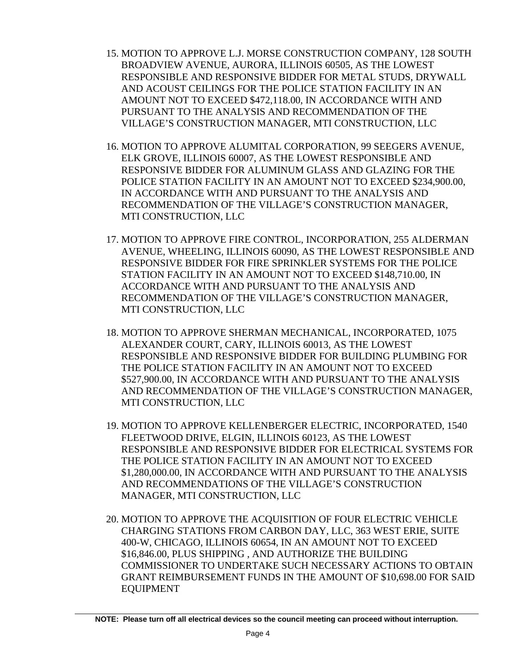- 15. MOTION TO APPROVE L.J. MORSE CONSTRUCTION COMPANY, 128 SOUTH BROADVIEW AVENUE, AURORA, ILLINOIS 60505, AS THE LOWEST RESPONSIBLE AND RESPONSIVE BIDDER FOR METAL STUDS, DRYWALL AND ACOUST CEILINGS FOR THE POLICE STATION FACILITY IN AN AMOUNT NOT TO EXCEED \$472,118.00, IN ACCORDANCE WITH AND PURSUANT TO THE ANALYSIS AND RECOMMENDATION OF THE VILLAGE'S CONSTRUCTION MANAGER, MTI CONSTRUCTION, LLC
- 16. MOTION TO APPROVE ALUMITAL CORPORATION, 99 SEEGERS AVENUE, ELK GROVE, ILLINOIS 60007, AS THE LOWEST RESPONSIBLE AND RESPONSIVE BIDDER FOR ALUMINUM GLASS AND GLAZING FOR THE POLICE STATION FACILITY IN AN AMOUNT NOT TO EXCEED \$234,900.00, IN ACCORDANCE WITH AND PURSUANT TO THE ANALYSIS AND RECOMMENDATION OF THE VILLAGE'S CONSTRUCTION MANAGER, MTI CONSTRUCTION, LLC
- 17. MOTION TO APPROVE FIRE CONTROL, INCORPORATION, 255 ALDERMAN AVENUE, WHEELING, ILLINOIS 60090, AS THE LOWEST RESPONSIBLE AND RESPONSIVE BIDDER FOR FIRE SPRINKLER SYSTEMS FOR THE POLICE STATION FACILITY IN AN AMOUNT NOT TO EXCEED \$148,710.00, IN ACCORDANCE WITH AND PURSUANT TO THE ANALYSIS AND RECOMMENDATION OF THE VILLAGE'S CONSTRUCTION MANAGER, MTI CONSTRUCTION, LLC
- 18. MOTION TO APPROVE SHERMAN MECHANICAL, INCORPORATED, 1075 ALEXANDER COURT, CARY, ILLINOIS 60013, AS THE LOWEST RESPONSIBLE AND RESPONSIVE BIDDER FOR BUILDING PLUMBING FOR THE POLICE STATION FACILITY IN AN AMOUNT NOT TO EXCEED \$527,900.00, IN ACCORDANCE WITH AND PURSUANT TO THE ANALYSIS AND RECOMMENDATION OF THE VILLAGE'S CONSTRUCTION MANAGER, MTI CONSTRUCTION, LLC
- 19. MOTION TO APPROVE KELLENBERGER ELECTRIC, INCORPORATED, 1540 FLEETWOOD DRIVE, ELGIN, ILLINOIS 60123, AS THE LOWEST RESPONSIBLE AND RESPONSIVE BIDDER FOR ELECTRICAL SYSTEMS FOR THE POLICE STATION FACILITY IN AN AMOUNT NOT TO EXCEED \$1,280,000.00, IN ACCORDANCE WITH AND PURSUANT TO THE ANALYSIS AND RECOMMENDATIONS OF THE VILLAGE'S CONSTRUCTION MANAGER, MTI CONSTRUCTION, LLC
- 20. MOTION TO APPROVE THE ACQUISITION OF FOUR ELECTRIC VEHICLE CHARGING STATIONS FROM CARBON DAY, LLC, 363 WEST ERIE, SUITE 400-W, CHICAGO, ILLINOIS 60654, IN AN AMOUNT NOT TO EXCEED \$16,846.00, PLUS SHIPPING , AND AUTHORIZE THE BUILDING COMMISSIONER TO UNDERTAKE SUCH NECESSARY ACTIONS TO OBTAIN GRANT REIMBURSEMENT FUNDS IN THE AMOUNT OF \$10,698.00 FOR SAID EQUIPMENT